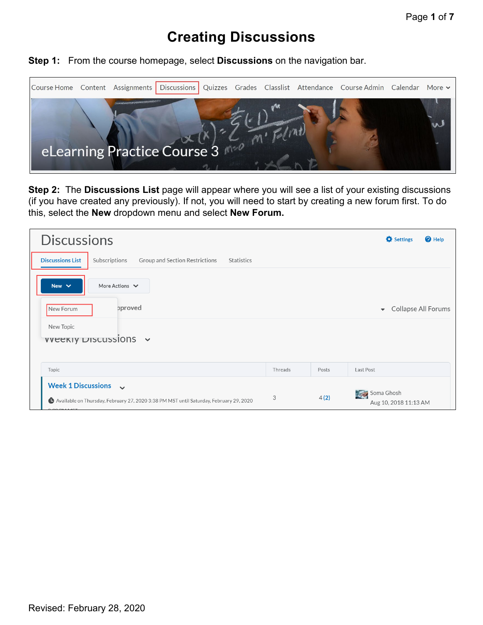## **Creating Discussions**

**Step 1:** From the course homepage, select **Discussions** on the navigation bar.



**Step 2:** The **Discussions List** page will appear where you will see a list of your existing discussions (if you have created any previously). If not, you will need to start by creating a new forum first. To do this, select the **New** dropdown menu and select **New Forum.** 

| <b>Discussions</b>                                                                                                               |         |       | Settings<br><b>Q</b> Help                       |
|----------------------------------------------------------------------------------------------------------------------------------|---------|-------|-------------------------------------------------|
| <b>Discussions List</b><br>Subscriptions<br>Group and Section Restrictions<br>Statistics                                         |         |       |                                                 |
| More Actions $\vee$<br>New $\vee$                                                                                                |         |       |                                                 |
| pproved<br>New Forum                                                                                                             |         |       | Collapse All Forums<br>$\overline{\phantom{a}}$ |
| New Topic<br>$v$ veekiy Discussions $\sim$                                                                                       |         |       |                                                 |
| Topic                                                                                                                            | Threads | Posts | Last Post                                       |
| Week 1 Discussions $\sim$<br>Available on Thursday, February 27, 2020 3:38 PM MST until Saturday, February 29, 2020<br>00011110T | 3       | 4(2)  | Soma Ghosh<br>Aug 10, 2018 11:13 AM             |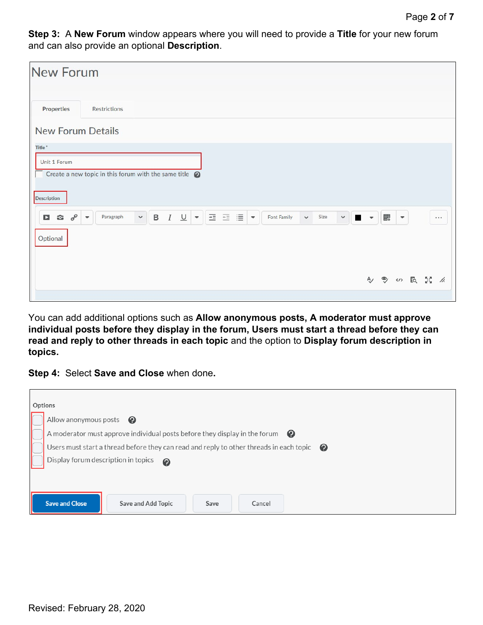**Step 3:** A **New Forum** window appears where you will need to provide a **Title** for your new forum and can also provide an optional **Description**.

| <b>New Forum</b>                                           |                                                                                                                                                                                                                                             |              |   |                          |       |    |
|------------------------------------------------------------|---------------------------------------------------------------------------------------------------------------------------------------------------------------------------------------------------------------------------------------------|--------------|---|--------------------------|-------|----|
| <b>Properties</b>                                          | Restrictions                                                                                                                                                                                                                                |              |   |                          |       |    |
| <b>New Forum Details</b>                                   |                                                                                                                                                                                                                                             |              |   |                          |       |    |
| Title*                                                     |                                                                                                                                                                                                                                             |              |   |                          |       |    |
|                                                            |                                                                                                                                                                                                                                             |              |   |                          |       |    |
| Unit 1 Forum                                               |                                                                                                                                                                                                                                             |              |   |                          |       |    |
|                                                            | Create a new topic in this forum with the same title $\bigcirc$                                                                                                                                                                             |              |   |                          |       |    |
| <b>Description</b>                                         |                                                                                                                                                                                                                                             |              |   |                          |       |    |
| $\sigma^{\!\mathcal{O}}$<br>$\mathbf{c}$<br>$\blacksquare$ | 三三目<br>$\checkmark$<br>$\underline{\cup}$<br>$\, {\sf B}$<br>I<br>Paragraph<br>Font Family<br>Size<br>$\checkmark$<br>$\overline{\mathbf{v}}$ .<br>$\boldsymbol{\mathrm{v}}$<br>$\checkmark$<br>$\blacksquare$<br>$\boldsymbol{\mathrm{v}}$ | $\mathbf{v}$ | 騦 | $\overline{\phantom{a}}$ |       |    |
| Optional                                                   |                                                                                                                                                                                                                                             |              |   |                          |       |    |
|                                                            |                                                                                                                                                                                                                                             |              |   |                          |       |    |
|                                                            |                                                                                                                                                                                                                                             |              |   |                          |       |    |
|                                                            |                                                                                                                                                                                                                                             |              |   |                          | みもの長い | h. |
|                                                            |                                                                                                                                                                                                                                             |              |   |                          |       |    |

You can add additional options such as **Allow anonymous posts, A moderator must approve individual posts before they display in the forum, Users must start a thread before they can read and reply to other threads in each topic** and the option to **Display forum description in topics.**

**Step 4:** Select **Save and Close** when done**.** 

| Options                                                                                                          |
|------------------------------------------------------------------------------------------------------------------|
| Allow anonymous posts $\bullet$                                                                                  |
| A moderator must approve individual posts before they display in the forum<br>$\boldsymbol{Q}$                   |
| Users must start a thread before they can read and reply to other threads in each topic<br>$\boldsymbol{\Omega}$ |
| Display forum description in topics<br>$\boldsymbol{\Omega}$                                                     |
|                                                                                                                  |
|                                                                                                                  |
| <b>Save and Close</b><br>Save and Add Topic<br>Save<br>Cancel                                                    |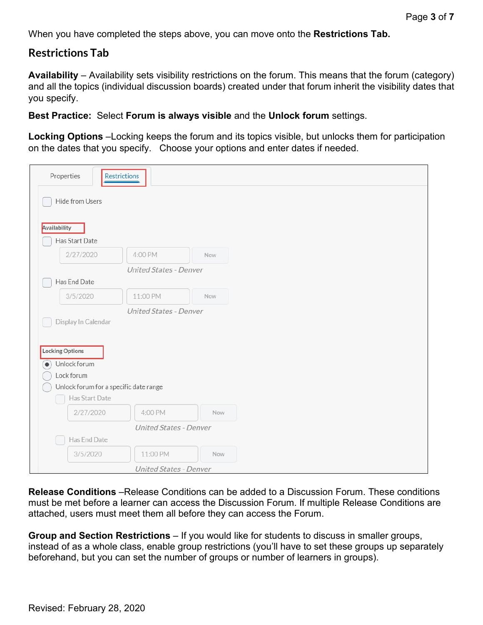When you have completed the steps above, you can move onto the **Restrictions Tab.**

## **Restrictions Tab**

**Availability** – Availability sets visibility restrictions on the forum. This means that the forum (category) and all the topics (individual discussion boards) created under that forum inherit the visibility dates that you specify.

**Best Practice:** Select **Forum is always visible** and the **Unlock forum** settings.

**Locking Options** –Locking keeps the forum and its topics visible, but unlocks them for participation on the dates that you specify. Choose your options and enter dates if needed.

| Properties                             | Restrictions           |     |  |  |
|----------------------------------------|------------------------|-----|--|--|
| Hide from Users                        |                        |     |  |  |
| Availability                           |                        |     |  |  |
| Has Start Date                         |                        |     |  |  |
| 2/27/2020                              | 4:00 PM                | Now |  |  |
|                                        | United States - Denver |     |  |  |
| Has End Date                           |                        |     |  |  |
| 3/5/2020                               | 11:00 PM               | Now |  |  |
|                                        | United States - Denver |     |  |  |
| Display In Calendar                    |                        |     |  |  |
|                                        |                        |     |  |  |
| <b>Locking Options</b>                 |                        |     |  |  |
| Unlock forum<br>$\bullet)$             |                        |     |  |  |
| Lock forum                             |                        |     |  |  |
| Unlock forum for a specific date range |                        |     |  |  |
| Has Start Date                         |                        |     |  |  |
| 2/27/2020                              | 4:00 PM                | Now |  |  |
|                                        | United States - Denver |     |  |  |
| Has End Date                           |                        |     |  |  |
| 3/5/2020                               | 11:00 PM               | Now |  |  |
|                                        | United States - Denver |     |  |  |

**Release Conditions** –Release Conditions can be added to a Discussion Forum. These conditions must be met before a learner can access the Discussion Forum. If multiple Release Conditions are attached, users must meet them all before they can access the Forum.

**Group and Section Restrictions** – If you would like for students to discuss in smaller groups, instead of as a whole class, enable group restrictions (you'll have to set these groups up separately beforehand, but you can set the number of groups or number of learners in groups).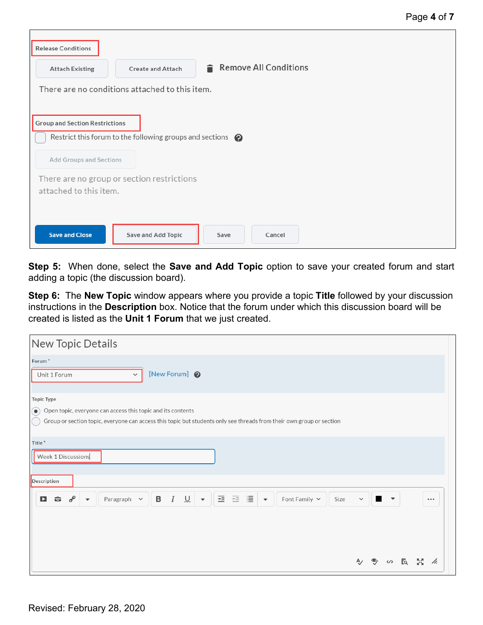| <b>Release Conditions</b>                                            |                          |      |                       |  |  |
|----------------------------------------------------------------------|--------------------------|------|-----------------------|--|--|
| <b>Attach Existing</b>                                               | <b>Create and Attach</b> |      | Remove All Conditions |  |  |
| There are no conditions attached to this item.                       |                          |      |                       |  |  |
| <b>Group and Section Restrictions</b>                                |                          |      |                       |  |  |
| Restrict this forum to the following groups and sections $\bullet$   |                          |      |                       |  |  |
| Add Groups and Sections                                              |                          |      |                       |  |  |
| There are no group or section restrictions<br>attached to this item. |                          |      |                       |  |  |
|                                                                      |                          |      |                       |  |  |
| <b>Save and Close</b>                                                | Save and Add Topic       | Save | Cancel                |  |  |

**Step 5:** When done, select the **Save and Add Topic** option to save your created forum and start adding a topic (the discussion board).

**Step 6:** The **New Topic** window appears where you provide a topic **Title** followed by your discussion instructions in the **Description** box. Notice that the forum under which this discussion board will be created is listed as the **Unit 1 Forum** that we just created.

| New Topic Details                                                                                                                                                                                                                                                 |              |                   |    |     |          |
|-------------------------------------------------------------------------------------------------------------------------------------------------------------------------------------------------------------------------------------------------------------------|--------------|-------------------|----|-----|----------|
| Forum <sup>*</sup><br>[New Forum] @<br>Unit 1 Forum<br>$\checkmark$                                                                                                                                                                                               |              |                   |    |     |          |
| <b>Topic Type</b><br>Open topic, everyone can access this topic and its contents<br>$\bullet$<br>Group or section topic, everyone can access this topic but students only see threads from their own group or section                                             |              |                   |    |     |          |
| Title*<br>Week 1 Discussions                                                                                                                                                                                                                                      |              |                   |    |     |          |
| Description<br>三目<br>亖<br>$\cal I$<br>$\underline{\cup}$<br>$\delta^{\circ}$<br>$\, {\bf B}$<br>Font Family $\sim$<br>$\blacksquare$<br>$\bullet$<br>Paragraph $\sim$<br>Size<br>$\overline{\phantom{a}}$<br>$\overline{\phantom{a}}$<br>$\overline{\phantom{a}}$ | $\checkmark$ | $\blacksquare$    |    |     | $\cdots$ |
|                                                                                                                                                                                                                                                                   |              |                   |    |     |          |
|                                                                                                                                                                                                                                                                   |              | $\langle \rangle$ | EQ | БZ. | /ı.      |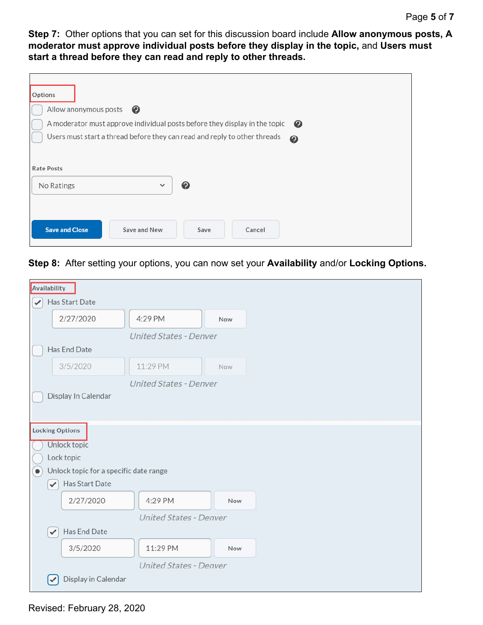**Step 7:** Other options that you can set for this discussion board include **Allow anonymous posts, A moderator must approve individual posts before they display in the topic,** and **Users must start a thread before they can read and reply to other threads.** 

| Options                                                                                            |
|----------------------------------------------------------------------------------------------------|
| Allow anonymous posts<br>$\boldsymbol{Q}$                                                          |
| A moderator must approve individual posts before they display in the topic<br>$\bullet$            |
| Users must start a thread before they can read and reply to other threads<br>$\boldsymbol{\Theta}$ |
|                                                                                                    |
| <b>Rate Posts</b>                                                                                  |
| ❷<br>No Ratings<br>$\checkmark$                                                                    |
|                                                                                                    |
| <b>Save and Close</b><br>Save and New<br>Save<br>Cancel                                            |

**Step 8:** After setting your options, you can now set your **Availability** and/or **Locking Options.** 

|              | Availability |                                        |                               |     |
|--------------|--------------|----------------------------------------|-------------------------------|-----|
| $\checkmark$ |              | Has Start Date                         |                               |     |
|              |              | 2/27/2020                              | 4:29 PM                       | Now |
|              |              |                                        | United States - Denver        |     |
|              |              | Has End Date                           |                               |     |
|              |              | 3/5/2020                               | 11:29 PM                      | Now |
|              |              |                                        | United States - Denver        |     |
|              |              | Display In Calendar                    |                               |     |
|              |              |                                        |                               |     |
|              |              | <b>Locking Options</b>                 |                               |     |
|              |              | Unlock topic                           |                               |     |
|              |              | Lock topic                             |                               |     |
| $\bullet$    |              | Unlock topic for a specific date range |                               |     |
|              | $\checkmark$ | Has Start Date                         |                               |     |
|              |              | 2/27/2020                              | 4:29 PM                       | Now |
|              |              |                                        | <b>United States - Denver</b> |     |
|              | $\checkmark$ | Has End Date                           |                               |     |
|              |              | 3/5/2020                               | 11:29 PM                      | Now |
|              |              |                                        | United States - Denver        |     |
|              |              | Display in Calendar                    |                               |     |

Revised: February 28, 2020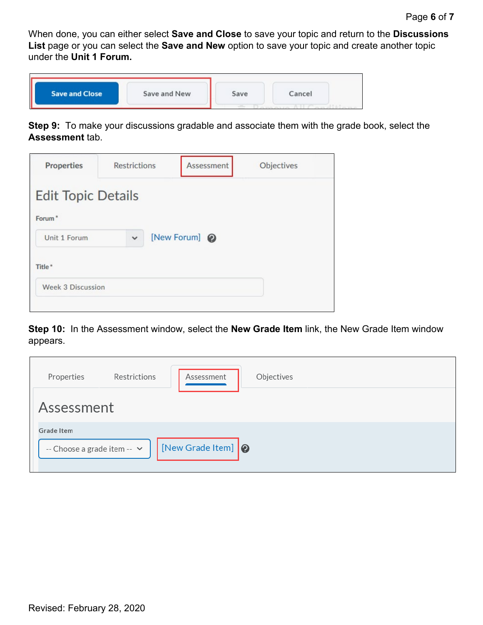When done, you can either select **Save and Close** to save your topic and return to the **Discussions List** page or you can select the **Save and New** option to save your topic and create another topic under the **Unit 1 Forum.**

| <b>Save and Close</b> | Save and New | Save                                                                                                                                                                                                                                                                                                                                                                                                                                                                                | Cancel |  |
|-----------------------|--------------|-------------------------------------------------------------------------------------------------------------------------------------------------------------------------------------------------------------------------------------------------------------------------------------------------------------------------------------------------------------------------------------------------------------------------------------------------------------------------------------|--------|--|
|                       |              | $\label{eq:1} \begin{array}{lll} \mathcal{L}_{\mathcal{A}}(\mathcal{A})=\mathcal{L}_{\mathcal{A}}(\mathcal{A})\mathcal{L}_{\mathcal{A}}(\mathcal{A})\mathcal{L}_{\mathcal{A}}(\mathcal{A})\mathcal{L}_{\mathcal{A}}(\mathcal{A})\mathcal{L}_{\mathcal{A}}(\mathcal{A})\mathcal{L}_{\mathcal{A}}(\mathcal{A})\mathcal{L}_{\mathcal{A}}(\mathcal{A})\mathcal{L}_{\mathcal{A}}(\mathcal{A})\mathcal{L}_{\mathcal{A}}(\mathcal{A})\mathcal{L}_{\mathcal{A}}(\mathcal{A})\mathcal{L}_{\$ |        |  |

**Step 9:** To make your discussions gradable and associate them with the grade book, select the **Assessment** tab.

| <b>Properties</b>                  | <b>Restrictions</b> | Assessment    | Objectives |
|------------------------------------|---------------------|---------------|------------|
| <b>Edit Topic Details</b>          |                     |               |            |
| Forum <sup>*</sup><br>Unit 1 Forum | $\checkmark$        | [New Forum] @ |            |
| Title*                             |                     |               |            |
| <b>Week 3 Discussion</b>           |                     |               |            |
|                                    |                     |               |            |

**Step 10:** In the Assessment window, select the **New Grade Item** link, the New Grade Item window appears.

| Properties                                | Restrictions | Objectives<br>Assessment                |  |
|-------------------------------------------|--------------|-----------------------------------------|--|
| Assessment                                |              |                                         |  |
| Grade Item<br>-- Choose a grade item -- v |              | $\bigcap$ [New Grade Item] $\bigotimes$ |  |